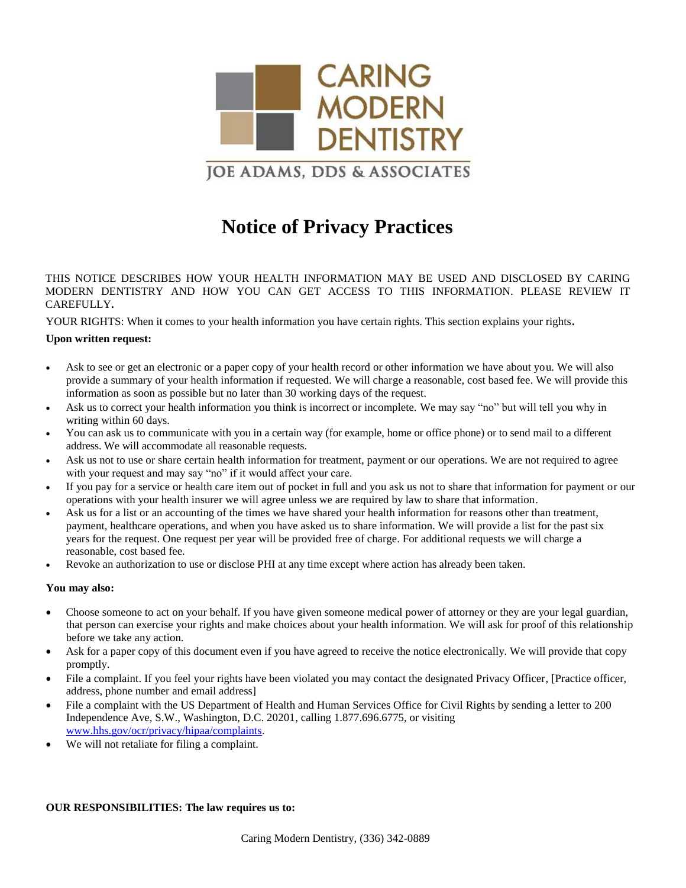

# **Notice of Privacy Practices**

THIS NOTICE DESCRIBES HOW YOUR HEALTH INFORMATION MAY BE USED AND DISCLOSED BY CARING MODERN DENTISTRY AND HOW YOU CAN GET ACCESS TO THIS INFORMATION. PLEASE REVIEW IT CAREFULLY**.**

YOUR RIGHTS: When it comes to your health information you have certain rights. This section explains your rights**.**

### **Upon written request:**

- Ask to see or get an electronic or a paper copy of your health record or other information we have about you. We will also provide a summary of your health information if requested. We will charge a reasonable, cost based fee. We will provide this information as soon as possible but no later than 30 working days of the request.
- Ask us to correct your health information you think is incorrect or incomplete. We may say "no" but will tell you why in writing within 60 days.
- You can ask us to communicate with you in a certain way (for example, home or office phone) or to send mail to a different address. We will accommodate all reasonable requests.
- Ask us not to use or share certain health information for treatment, payment or our operations. We are not required to agree with your request and may say "no" if it would affect your care.
- If you pay for a service or health care item out of pocket in full and you ask us not to share that information for payment or our operations with your health insurer we will agree unless we are required by law to share that information.
- Ask us for a list or an accounting of the times we have shared your health information for reasons other than treatment, payment, healthcare operations, and when you have asked us to share information. We will provide a list for the past six years for the request. One request per year will be provided free of charge. For additional requests we will charge a reasonable, cost based fee.
- Revoke an authorization to use or disclose PHI at any time except where action has already been taken.

## **You may also:**

- Choose someone to act on your behalf. If you have given someone medical power of attorney or they are your legal guardian, that person can exercise your rights and make choices about your health information. We will ask for proof of this relationship before we take any action.
- Ask for a paper copy of this document even if you have agreed to receive the notice electronically. We will provide that copy promptly.
- File a complaint. If you feel your rights have been violated you may contact the designated Privacy Officer, [Practice officer, address, phone number and email address]
- File a complaint with the US Department of Health and Human Services Office for Civil Rights by sending a letter to 200 Independence Ave, S.W., Washington, D.C. 20201, calling 1.877.696.6775, or visiting [www.hhs.gov/ocr/privacy/hipaa/complaints.](http://www.hhs.gov/ocr/privacy/hipaa/complaints)
- We will not retaliate for filing a complaint.

### **OUR RESPONSIBILITIES: The law requires us to:**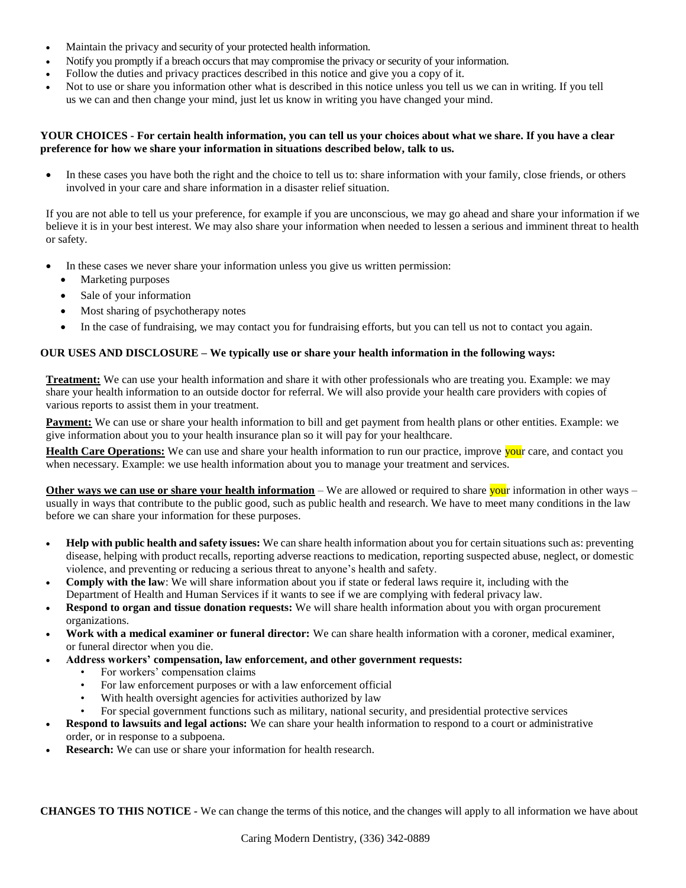- Maintain the privacy and security of your protected health information.
- Notify you promptly if a breach occurs that may compromise the privacy or security of your information.
- Follow the duties and privacy practices described in this notice and give you a copy of it.
- Not to use or share you information other what is described in this notice unless you tell us we can in writing. If you tell us we can and then change your mind, just let us know in writing you have changed your mind.

### **YOUR CHOICES - For certain health information, you can tell us your choices about what we share. If you have a clear preference for how we share your information in situations described below, talk to us.**

 In these cases you have both the right and the choice to tell us to: share information with your family, close friends, or others involved in your care and share information in a disaster relief situation.

If you are not able to tell us your preference, for example if you are unconscious, we may go ahead and share your information if we believe it is in your best interest. We may also share your information when needed to lessen a serious and imminent threat to health or safety.

- In these cases we never share your information unless you give us written permission:
	- Marketing purposes
	- Sale of your information
	- Most sharing of psychotherapy notes
	- In the case of fundraising, we may contact you for fundraising efforts, but you can tell us not to contact you again.

#### **OUR USES AND DISCLOSURE – We typically use or share your health information in the following ways:**

**Treatment:** We can use your health information and share it with other professionals who are treating you. Example: we may share your health information to an outside doctor for referral. We will also provide your health care providers with copies of various reports to assist them in your treatment.

**Payment:** We can use or share your health information to bill and get payment from health plans or other entities. Example: we give information about you to your health insurance plan so it will pay for your healthcare.

**Health Care Operations:** We can use and share your health information to run our practice, improve your care, and contact you when necessary. Example: we use health information about you to manage your treatment and services.

**Other ways we can use or share your health information** – We are allowed or required to share your information in other ways – usually in ways that contribute to the public good, such as public health and research. We have to meet many conditions in the law before we can share your information for these purposes.

- **Help with public health and safety issues:** We can share health information about you for certain situations such as: preventing disease, helping with product recalls, reporting adverse reactions to medication, reporting suspected abuse, neglect, or domestic violence, and preventing or reducing a serious threat to anyone's health and safety.
- **Comply with the law**: We will share information about you if state or federal laws require it, including with the Department of Health and Human Services if it wants to see if we are complying with federal privacy law.
- **Respond to organ and tissue donation requests:** We will share health information about you with organ procurement organizations.
- **Work with a medical examiner or funeral director:** We can share health information with a coroner, medical examiner, or funeral director when you die.
- **Address workers' compensation, law enforcement, and other government requests:**
	- For workers' compensation claims
	- For law enforcement purposes or with a law enforcement official
	- With health oversight agencies for activities authorized by law
	- For special government functions such as military, national security, and presidential protective services
- **Respond to lawsuits and legal actions:** We can share your health information to respond to a court or administrative order, or in response to a subpoena.
- **Research:** We can use or share your information for health research.

**CHANGES TO THIS NOTICE -** We can change the terms of this notice, and the changes will apply to all information we have about